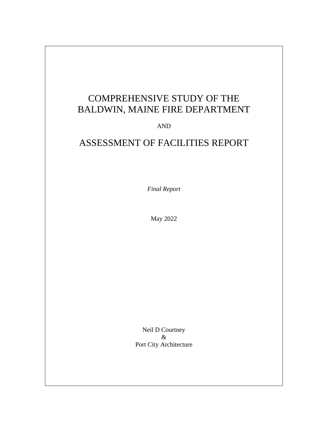# COMPREHENSIVE STUDY OF THE BALDWIN, MAINE FIRE DEPARTMENT

AND

## ASSESSMENT OF FACILITIES REPORT

*Final Report*

May 2022

Neil D Courtney & Port City Architecture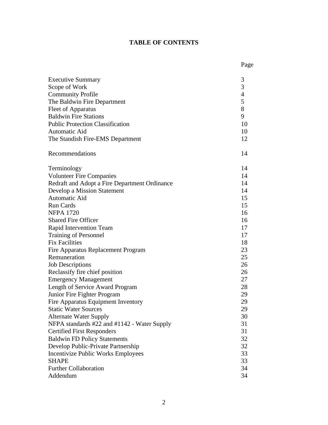## **TABLE OF CONTENTS**

|                                               | Page           |
|-----------------------------------------------|----------------|
| <b>Executive Summary</b>                      | 3              |
| Scope of Work                                 | 3              |
| <b>Community Profile</b>                      | $\overline{4}$ |
| The Baldwin Fire Department                   | 5              |
| <b>Fleet of Apparatus</b>                     | 8              |
| <b>Baldwin Fire Stations</b>                  | 9              |
| <b>Public Protection Classification</b>       | 10             |
| Automatic Aid                                 | 10             |
| The Standish Fire-EMS Department              | 12             |
| Recommendations                               | 14             |
| Terminology                                   | 14             |
| <b>Volunteer Fire Companies</b>               | 14             |
| Redraft and Adopt a Fire Department Ordinance | 14             |
| Develop a Mission Statement                   | 14             |
| Automatic Aid                                 | 15             |
| <b>Run Cards</b>                              | 15             |
| <b>NFPA 1720</b>                              | 16             |
| <b>Shared Fire Officer</b>                    | 16             |
| Rapid Intervention Team                       | 17             |
| <b>Training of Personnel</b>                  | 17             |
| <b>Fix Facilities</b>                         | 18             |
| Fire Apparatus Replacement Program            | 23             |
| Remuneration                                  | 25             |
| <b>Job Descriptions</b>                       | 26             |
| Reclassify fire chief position                | 26             |
| <b>Emergency Management</b>                   | 27             |
| Length of Service Award Program               | 28             |
| Junior Fire Fighter Program                   | 29             |
| Fire Apparatus Equipment Inventory            | 29             |
| <b>Static Water Sources</b>                   | 29             |
| <b>Alternate Water Supply</b>                 | 30             |
| NFPA standards #22 and #1142 - Water Supply   | 31             |
| <b>Certified First Responders</b>             | 31             |
| <b>Baldwin FD Policy Statements</b>           | 32             |
| Develop Public-Private Partnership            | 32             |
| <b>Incentivize Public Works Employees</b>     | 33             |
| <b>SHAPE</b>                                  | 33             |
| <b>Further Collaboration</b>                  | 34             |
| Addendum                                      | 34             |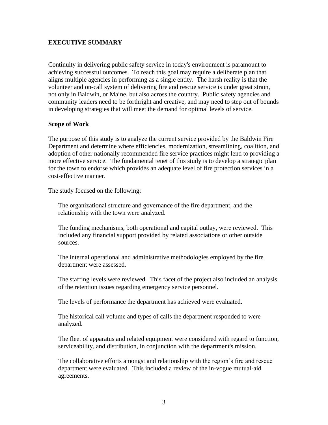## **EXECUTIVE SUMMARY**

Continuity in delivering public safety service in today's environment is paramount to achieving successful outcomes. To reach this goal may require a deliberate plan that aligns multiple agencies in performing as a single entity. The harsh reality is that the volunteer and on-call system of delivering fire and rescue service is under great strain, not only in Baldwin, or Maine, but also across the country. Public safety agencies and community leaders need to be forthright and creative, and may need to step out of bounds in developing strategies that will meet the demand for optimal levels of service.

#### **Scope of Work**

The purpose of this study is to analyze the current service provided by the Baldwin Fire Department and determine where efficiencies, modernization, streamlining, coalition, and adoption of other nationally recommended fire service practices might lend to providing a more effective service. The fundamental tenet of this study is to develop a strategic plan for the town to endorse which provides an adequate level of fire protection services in a cost-effective manner.

The study focused on the following:

The organizational structure and governance of the fire department, and the relationship with the town were analyzed.

The funding mechanisms, both operational and capital outlay, were reviewed. This included any financial support provided by related associations or other outside sources.

The internal operational and administrative methodologies employed by the fire department were assessed.

The staffing levels were reviewed. This facet of the project also included an analysis of the retention issues regarding emergency service personnel.

The levels of performance the department has achieved were evaluated.

The historical call volume and types of calls the department responded to were analyzed.

The fleet of apparatus and related equipment were considered with regard to function, serviceability, and distribution, in conjunction with the department's mission.

The collaborative efforts amongst and relationship with the region's fire and rescue department were evaluated. This included a review of the in-vogue mutual-aid agreements.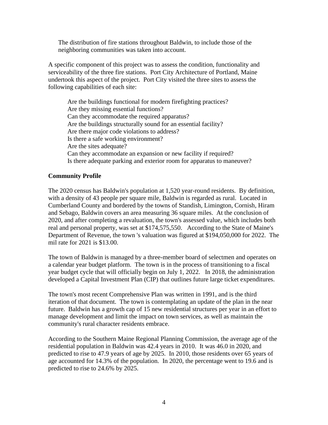The distribution of fire stations throughout Baldwin, to include those of the neighboring communities was taken into account.

A specific component of this project was to assess the condition, functionality and serviceability of the three fire stations. Port City Architecture of Portland, Maine undertook this aspect of the project. Port City visited the three sites to assess the following capabilities of each site:

Are the buildings functional for modern firefighting practices? Are they missing essential functions? Can they accommodate the required apparatus? Are the buildings structurally sound for an essential facility? Are there major code violations to address? Is there a safe working environment? Are the sites adequate? Can they accommodate an expansion or new facility if required? Is there adequate parking and exterior room for apparatus to maneuver?

## **Community Profile**

The 2020 census has Baldwin's population at 1,520 year-round residents. By definition, with a density of 43 people per square mile, Baldwin is regarded as rural. Located in Cumberland County and bordered by the towns of Standish, Limington, Cornish, Hiram and Sebago, Baldwin covers an area measuring 36 square miles. At the conclusion of 2020, and after completing a revaluation, the town's assessed value, which includes both real and personal property, was set at \$174,575,550. According to the State of Maine's Department of Revenue, the town 's valuation was figured at \$194,050,000 for 2022. The mil rate for 2021 is \$13.00.

The town of Baldwin is managed by a three-member board of selectmen and operates on a calendar year budget platform. The town is in the process of transitioning to a fiscal year budget cycle that will officially begin on July 1, 2022. In 2018, the administration developed a Capital Investment Plan (CIP) that outlines future large ticket expenditures.

The town's most recent Comprehensive Plan was written in 1991, and is the third iteration of that document. The town is contemplating an update of the plan in the near future. Baldwin has a growth cap of 15 new residential structures per year in an effort to manage development and limit the impact on town services, as well as maintain the community's rural character residents embrace.

According to the Southern Maine Regional Planning Commission, the average age of the residential population in Baldwin was 42.4 years in 2010. It was 46.0 in 2020, and predicted to rise to 47.9 years of age by 2025. In 2010, those residents over 65 years of age accounted for 14.3% of the population. In 2020, the percentage went to 19.6 and is predicted to rise to 24.6% by 2025.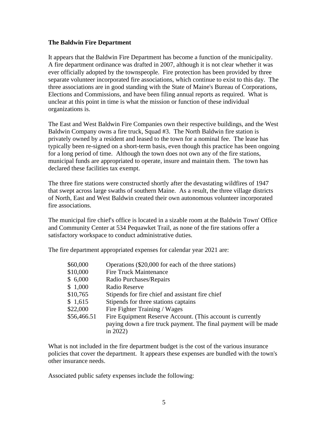#### **The Baldwin Fire Department**

It appears that the Baldwin Fire Department has become a function of the municipality. A fire department ordinance was drafted in 2007, although it is not clear whether it was ever officially adopted by the townspeople. Fire protection has been provided by three separate volunteer incorporated fire associations, which continue to exist to this day. The three associations are in good standing with the State of Maine's Bureau of Corporations, Elections and Commissions, and have been filing annual reports as required. What is unclear at this point in time is what the mission or function of these individual organizations is.

The East and West Baldwin Fire Companies own their respective buildings, and the West Baldwin Company owns a fire truck, Squad #3. The North Baldwin fire station is privately owned by a resident and leased to the town for a nominal fee. The lease has typically been re-signed on a short-term basis, even though this practice has been ongoing for a long period of time. Although the town does not own any of the fire stations, municipal funds are appropriated to operate, insure and maintain them. The town has declared these facilities tax exempt.

The three fire stations were constructed shortly after the devastating wildfires of 1947 that swept across large swaths of southern Maine. As a result, the three village districts of North, East and West Baldwin created their own autonomous volunteer incorporated fire associations.

The municipal fire chief's office is located in a sizable room at the Baldwin Town' Office and Community Center at 534 Pequawket Trail, as none of the fire stations offer a satisfactory workspace to conduct administrative duties.

The fire department appropriated expenses for calendar year 2021 are:

| \$60,000    | Operations (\$20,000 for each of the three stations)             |
|-------------|------------------------------------------------------------------|
| \$10,000    | <b>Fire Truck Maintenance</b>                                    |
| \$6,000     | Radio Purchases/Repairs                                          |
| \$1,000     | Radio Reserve                                                    |
| \$10,765    | Stipends for fire chief and assistant fire chief                 |
| \$1,615     | Stipends for three stations captains                             |
| \$22,000    | Fire Fighter Training / Wages                                    |
| \$56,466.51 | Fire Equipment Reserve Account. (This account is currently       |
|             | paying down a fire truck payment. The final payment will be made |
|             | in $2022$ )                                                      |

What is not included in the fire department budget is the cost of the various insurance policies that cover the department. It appears these expenses are bundled with the town's other insurance needs.

Associated public safety expenses include the following: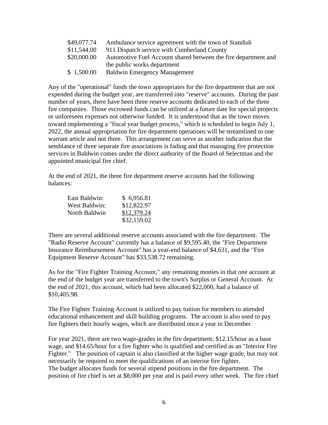| \$49,077.74 | Ambulance service agreement with the town of Standish          |
|-------------|----------------------------------------------------------------|
| \$11,544.00 | 911 Dispatch service with Cumberland County                    |
| \$20,000.00 | Automotive Fuel Account shared between the fire department and |
|             | the public works department                                    |
| \$1,500.00  | <b>Baldwin Emergency Management</b>                            |

Any of the "operational" funds the town appropriates for the fire department that are not expended during the budget year, are transferred into "reserve" accounts. During the past number of years, there have been three reserve accounts dedicated to each of the three fire companies. Those escrowed funds can be utilized at a future date for special projects or unforeseen expenses not otherwise funded. It is understood that as the town moves toward implementing a "fiscal year budget process," which is scheduled to begin July 1, 2022, the annual appropriation for fire department operations will be streamlined to one warrant article and not three. This arrangement can serve as another indication that the semblance of three separate fire associations is fading and that managing fire protection services in Baldwin comes under the direct authority of the Board of Selectman and the appointed municipal fire chief.

At the end of 2021, the three fire department reserve accounts had the following balances:

| East Baldwin:        | \$6,956.81  |
|----------------------|-------------|
| <b>West Baldwin:</b> | \$12,822.97 |
| North Baldwin        | \$12,379.24 |
|                      | \$32,159.02 |

There are several additional reserve accounts associated with the fire department. The "Radio Reserve Account" currently has a balance of \$9,595.40, the "Fire Department Insurance Reimbursement Account" has a year-end balance of \$4,631, and the "Fire Equipment Reserve Account" has \$33,538.72 remaining.

As for the "Fire Fighter Training Account," any remaining monies in that one account at the end of the budget year are transferred to the town's Surplus or General Account. At the end of 2021, this account, which had been allocated \$22,000, had a balance of \$10,405.98.

The Fire Fighter Training Account is utilized to pay tuition for members to attended educational enhancement and skill building programs. The account is also used to pay fire fighters their hourly wages, which are distributed once a year in December.

For year 2021, there are two wage-grades in the fire department; \$12.15/hour as a base wage, and \$14.65/hour for a fire fighter who is qualified and certified as an "Interior Fire Fighter." The position of captain is also classified at the higher wage grade, but may not necessarily be required to meet the qualifications of an interior fire fighter. The budget allocates funds for several stipend positions in the fire department. The position of fire chief is set at \$8,000 per year and is paid every other week. The fire chief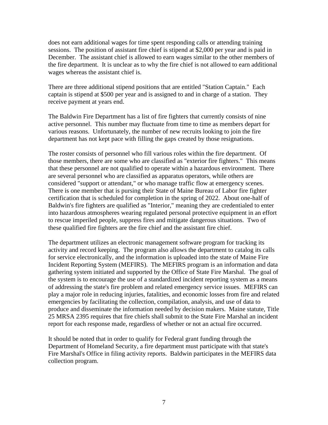does not earn additional wages for time spent responding calls or attending training sessions. The position of assistant fire chief is stipend at \$2,000 per year and is paid in December. The assistant chief is allowed to earn wages similar to the other members of the fire department. It is unclear as to why the fire chief is not allowed to earn additional wages whereas the assistant chief is.

There are three additional stipend positions that are entitled "Station Captain." Each captain is stipend at \$500 per year and is assigned to and in charge of a station. They receive payment at years end.

The Baldwin Fire Department has a list of fire fighters that currently consists of nine active personnel. This number may fluctuate from time to time as members depart for various reasons. Unfortunately, the number of new recruits looking to join the fire department has not kept pace with filling the gaps created by those resignations.

The roster consists of personnel who fill various roles within the fire department. Of those members, there are some who are classified as "exterior fire fighters." This means that these personnel are not qualified to operate within a hazardous environment. There are several personnel who are classified as apparatus operators, while others are considered "support or attendant," or who manage traffic flow at emergency scenes. There is one member that is pursing their State of Maine Bureau of Labor fire fighter certification that is scheduled for completion in the spring of 2022. About one-half of Baldwin's fire fighters are qualified as "Interior," meaning they are credentialed to enter into hazardous atmospheres wearing regulated personal protective equipment in an effort to rescue imperiled people, suppress fires and mitigate dangerous situations. Two of these qualified fire fighters are the fire chief and the assistant fire chief.

The department utilizes an electronic management software program for tracking its activity and record keeping. The program also allows the department to catalog its calls for service electronically, and the information is uploaded into the state of Maine Fire Incident Reporting System (MEFIRS). The MEFIRS program is an information and data gathering system initiated and supported by the Office of State Fire Marshal. The goal of the system is to encourage the use of a standardized incident reporting system as a means of addressing the state's fire problem and related emergency service issues. MEFIRS can play a major role in reducing injuries, fatalities, and economic losses from fire and related emergencies by facilitating the collection, compilation, analysis, and use of data to produce and disseminate the information needed by decision makers. Maine statute, Title 25 MRSA 2395 requires that fire chiefs shall submit to the State Fire Marshal an incident report for each response made, regardless of whether or not an actual fire occurred.

It should be noted that in order to qualify for Federal grant funding through the Department of Homeland Security, a fire department must participate with that state's Fire Marshal's Office in filing activity reports. Baldwin participates in the MEFIRS data collection program.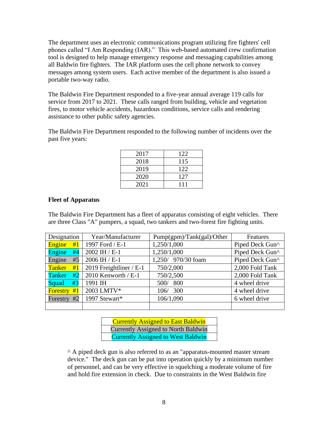The department uses an electronic communications program utilizing fire fighters' cell phones called "I Am Responding (IAR)." This web-based automated crew confirmation tool is designed to help manage emergency response and messaging capabilities among all Baldwin fire fighters. The IAR platform uses the cell phone network to convey messages among system users. Each active member of the department is also issued a portable two-way radio.

The Baldwin Fire Department responded to a five-year annual average 119 calls for service from 2017 to 2021. These calls ranged from building, vehicle and vegetation fires, to motor vehicle accidents, hazardous conditions, service calls and rendering assistance to other public safety agencies.

The Baldwin Fire Department responded to the following number of incidents over the past five years:

| 2017 | 122 |
|------|-----|
| 2018 | 115 |
| 2019 | 122 |
| 2020 | 127 |
| 2021 | 111 |

#### **Fleet of Apparatus**

The Baldwin Fire Department has a fleet of apparatus consisting of eight vehicles. There are three Class "A" pumpers, a squad, two tankers and two-forest fire fighting units.

| Designation           | Year/Manufacturer       | Pump(gpm)/Tank(gal)/Other | Features        |
|-----------------------|-------------------------|---------------------------|-----------------|
| Engine<br>#1          | 1997 Ford / E-1         | 1,250/1,000               | Piped Deck Gun^ |
| Engine<br>#4          | 2002 IH / E-1           | 1,250/1,000               | Piped Deck Gun^ |
| Engine<br>#5          | 2006 IH / E-1           | 1,250/ 970/30 foam        | Piped Deck Gun^ |
| <b>Tanker</b><br>#1   | 2019 Freightliner / E-1 | 750/2,000                 | 2,000 Fold Tank |
| Tanker<br>#2          | 2010 Kenworth / E-1     | 750/2,500                 | 2,000 Fold Tank |
| #3<br>Squad           | 1991 IH                 | 800<br>500/               | 4 wheel drive   |
| #1<br><b>Forestry</b> | 2003 LMTV*              | 300<br>106/               | 4 wheel drive   |
| #2<br>Forestry        | 1997 Stewart*           | 106/1,090                 | 6 wheel drive   |
|                       |                         |                           |                 |

| <b>Currently Assigned to East Baldwin</b> |
|-------------------------------------------|
| Currently Assigned to North Baldwin       |
| <b>Currently Assigned to West Baldwin</b> |

^ A piped deck gun is also referred to as an "apparatus-mounted master stream device." The deck gun can be put into operation quickly by a minimum number of personnel, and can be very effective in squelching a moderate volume of fire and hold fire extension in check. Due to constraints in the West Baldwin fire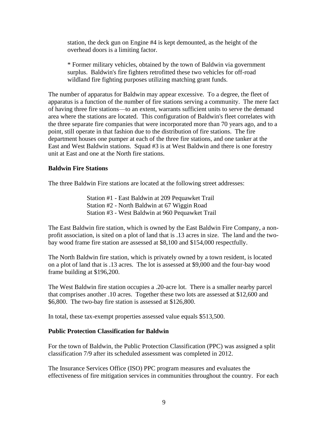station, the deck gun on Engine #4 is kept demounted, as the height of the overhead doors is a limiting factor.

\* Former military vehicles, obtained by the town of Baldwin via government surplus. Baldwin's fire fighters retrofitted these two vehicles for off-road wildland fire fighting purposes utilizing matching grant funds.

The number of apparatus for Baldwin may appear excessive. To a degree, the fleet of apparatus is a function of the number of fire stations serving a community. The mere fact of having three fire stations—to an extent, warrants sufficient units to serve the demand area where the stations are located. This configuration of Baldwin's fleet correlates with the three separate fire companies that were incorporated more than 70 years ago, and to a point, still operate in that fashion due to the distribution of fire stations. The fire department houses one pumper at each of the three fire stations, and one tanker at the East and West Baldwin stations. Squad #3 is at West Baldwin and there is one forestry unit at East and one at the North fire stations.

#### **Baldwin Fire Stations**

The three Baldwin Fire stations are located at the following street addresses:

Station #1 - East Baldwin at 209 Pequawket Trail Station #2 - North Baldwin at 67 Wiggin Road Station #3 - West Baldwin at 960 Pequawket Trail

The East Baldwin fire station, which is owned by the East Baldwin Fire Company, a nonprofit association, is sited on a plot of land that is .13 acres in size. The land and the twobay wood frame fire station are assessed at \$8,100 and \$154,000 respectfully.

The North Baldwin fire station, which is privately owned by a town resident, is located on a plot of land that is .13 acres. The lot is assessed at \$9,000 and the four-bay wood frame building at \$196,200.

The West Baldwin fire station occupies a .20-acre lot. There is a smaller nearby parcel that comprises another .10 acres. Together these two lots are assessed at \$12,600 and \$6,800. The two-bay fire station is assessed at \$126,800.

In total, these tax-exempt properties assessed value equals \$513,500.

#### **Public Protection Classification for Baldwin**

For the town of Baldwin, the Public Protection Classification (PPC) was assigned a split classification 7/9 after its scheduled assessment was completed in 2012.

The Insurance Services Office (ISO) PPC program measures and evaluates the effectiveness of fire mitigation services in communities throughout the country. For each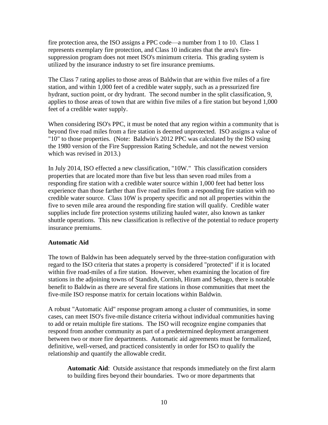fire protection area, the ISO assigns a PPC code—a number from 1 to 10. Class 1 represents exemplary fire protection, and Class 10 indicates that the area's firesuppression program does not meet ISO's minimum criteria. This grading system is utilized by the insurance industry to set fire insurance premiums.

The Class 7 rating applies to those areas of Baldwin that are within five miles of a fire station, and within 1,000 feet of a credible water supply, such as a pressurized fire hydrant, suction point, or dry hydrant. The second number in the split classification, 9, applies to those areas of town that are within five miles of a fire station but beyond 1,000 feet of a credible water supply.

When considering ISO's PPC, it must be noted that any region within a community that is beyond five road miles from a fire station is deemed unprotected. ISO assigns a value of "10" to those properties. (Note: Baldwin's 2012 PPC was calculated by the ISO using the 1980 version of the Fire Suppression Rating Schedule, and not the newest version which was revised in 2013.)

In July 2014, ISO effected a new classification, "10W." This classification considers properties that are located more than five but less than seven road miles from a responding fire station with a credible water source within 1,000 feet had better loss experience than those farther than five road miles from a responding fire station with no credible water source. Class 10W is property specific and not all properties within the five to seven mile area around the responding fire station will qualify. Credible water supplies include fire protection systems utilizing hauled water, also known as tanker shuttle operations. This new classification is reflective of the potential to reduce property insurance premiums.

#### **Automatic Aid**

The town of Baldwin has been adequately served by the three-station configuration with regard to the ISO criteria that states a property is considered "protected" if it is located within five road-miles of a fire station. However, when examining the location of fire stations in the adjoining towns of Standish, Cornish, Hiram and Sebago, there is notable benefit to Baldwin as there are several fire stations in those communities that meet the five-mile ISO response matrix for certain locations within Baldwin.

A robust "Automatic Aid" response program among a cluster of communities, in some cases, can meet ISO's five-mile distance criteria without individual communities having to add or retain multiple fire stations. The ISO will recognize engine companies that respond from another community as part of a predetermined deployment arrangement between two or more fire departments. Automatic aid agreements must be formalized, definitive, well-versed, and practiced consistently in order for ISO to qualify the relationship and quantify the allowable credit.

**Automatic Aid**: Outside assistance that responds immediately on the first alarm to building fires beyond their boundaries. Two or more departments that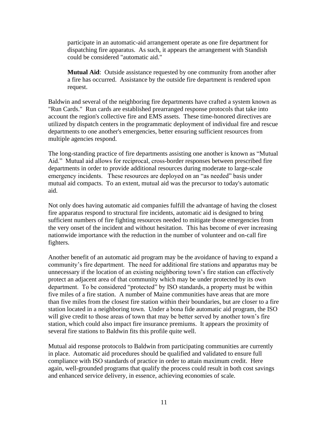participate in an automatic-aid arrangement operate as one fire department for dispatching fire apparatus. As such, it appears the arrangement with Standish could be considered "automatic aid."

**Mutual Aid**: Outside assistance requested by one community from another after a fire has occurred. Assistance by the outside fire department is rendered upon request.

Baldwin and several of the neighboring fire departments have crafted a system known as "Run Cards." Run cards are established prearranged response protocols that take into account the region's collective fire and EMS assets. These time-honored directives are utilized by dispatch centers in the programmatic deployment of individual fire and rescue departments to one another's emergencies, better ensuring sufficient resources from multiple agencies respond.

The long-standing practice of fire departments assisting one another is known as "Mutual Aid." Mutual aid allows for reciprocal, cross-border responses between prescribed fire departments in order to provide additional resources during moderate to large-scale emergency incidents. These resources are deployed on an "as needed" basis under mutual aid compacts. To an extent, mutual aid was the precursor to today's automatic aid.

Not only does having automatic aid companies fulfill the advantage of having the closest fire apparatus respond to structural fire incidents, automatic aid is designed to bring sufficient numbers of fire fighting resources needed to mitigate those emergencies from the very onset of the incident and without hesitation. This has become of ever increasing nationwide importance with the reduction in the number of volunteer and on-call fire fighters.

Another benefit of an automatic aid program may be the avoidance of having to expand a community's fire department. The need for additional fire stations and apparatus may be unnecessary if the location of an existing neighboring town's fire station can effectively protect an adjacent area of that community which may be under protected by its own department. To be considered "protected" by ISO standards, a property must be within five miles of a fire station. A number of Maine communities have areas that are more than five miles from the closest fire station within their boundaries, but are closer to a fire station located in a neighboring town. Under a bona fide automatic aid program, the ISO will give credit to those areas of town that may be better served by another town's fire station, which could also impact fire insurance premiums. It appears the proximity of several fire stations to Baldwin fits this profile quite well.

Mutual aid response protocols to Baldwin from participating communities are currently in place. Automatic aid procedures should be qualified and validated to ensure full compliance with ISO standards of practice in order to attain maximum credit. Here again, well-grounded programs that qualify the process could result in both cost savings and enhanced service delivery, in essence, achieving economies of scale.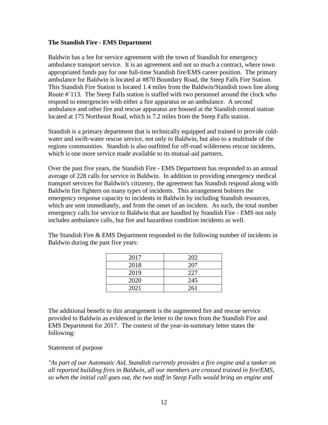#### **The Standish Fire - EMS Department**

Baldwin has a fee for service agreement with the town of Standish for emergency ambulance transport service. It is an agreement and not so much a contract, where town appropriated funds pay for one full-time Standish fire/EMS career position. The primary ambulance for Baldwin is located at #870 Boundary Road, the Steep Falls Fire Station. This Standish Fire Station is located 1.4 miles from the Baldwin/Standish town line along Route # 113. The Steep Falls station is staffed with two personnel around the clock who respond to emergencies with either a fire apparatus or an ambulance. A second ambulance and other fire and rescue apparatus are housed at the Standish central station located at 175 Northeast Road, which is 7.2 miles from the Steep Falls station.

Standish is a primary department that is technically equipped and trained to provide coldwater and swift-water rescue service, not only to Baldwin, but also to a multitude of the regions communities. Standish is also outfitted for off-road wilderness rescue incidents, which is one more service made available to its mutual-aid partners.

Over the past five years, the Standish Fire - EMS Department has responded to an annual average of 228 calls for service in Baldwin. In addition to providing emergency medical transport services for Baldwin's citizenry, the agreement has Standish respond along with Baldwin fire fighters on many types of incidents. This arrangement bolsters the emergency response capacity to incidents in Baldwin by including Standish resources, which are sent immediately, and from the onset of an incident. As such, the total number emergency calls for service to Baldwin that are handled by Standish Fire - EMS not only includes ambulance calls, but fire and hazardous condition incidents as well.

The Standish Fire & EMS Department responded to the following number of incidents in Baldwin during the past five years:

| 2017 | 202 |
|------|-----|
| 2018 | 207 |
| 2019 | 227 |
| 2020 | 245 |
| 2021 | 261 |

The additional benefit to this arrangement is the augmented fire and rescue service provided to Baldwin as evidenced in the letter to the town from the Standish Fire and EMS Department for 2017. The context of the year-in-summary letter states the following:

#### Statement of purpose

*"As part of our Automatic Aid, Standish currently provides a fire engine and a tanker on all reported building fires in Baldwin, all our members are crossed trained in fire/EMS, so when the initial call goes out, the two staff in Steep Falls would bring an engine and*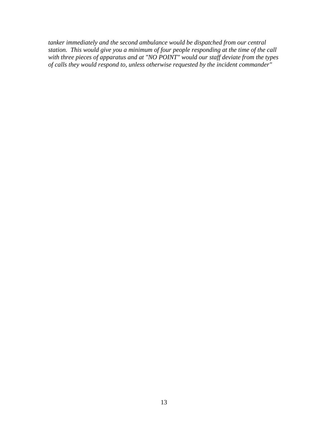*tanker immediately and the second ambulance would be dispatched from our central station. This would give you a minimum of four people responding at the time of the call with three pieces of apparatus and at "NO POINT" would our staff deviate from the types of calls they would respond to, unless otherwise requested by the incident commander"*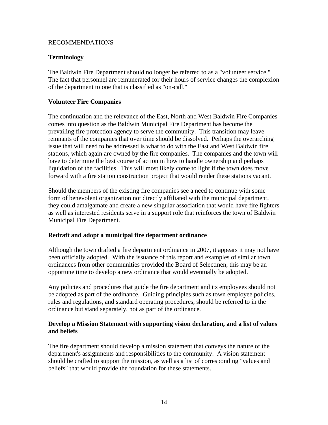#### RECOMMENDATIONS

## **Terminology**

The Baldwin Fire Department should no longer be referred to as a "volunteer service." The fact that personnel are remunerated for their hours of service changes the complexion of the department to one that is classified as "on-call."

## **Volunteer Fire Companies**

The continuation and the relevance of the East, North and West Baldwin Fire Companies comes into question as the Baldwin Municipal Fire Department has become the prevailing fire protection agency to serve the community. This transition may leave remnants of the companies that over time should be dissolved. Perhaps the overarching issue that will need to be addressed is what to do with the East and West Baldwin fire stations, which again are owned by the fire companies. The companies and the town will have to determine the best course of action in how to handle ownership and perhaps liquidation of the facilities. This will most likely come to light if the town does move forward with a fire station construction project that would render these stations vacant.

Should the members of the existing fire companies see a need to continue with some form of benevolent organization not directly affiliated with the municipal department, they could amalgamate and create a new singular association that would have fire fighters as well as interested residents serve in a support role that reinforces the town of Baldwin Municipal Fire Department.

## **Redraft and adopt a municipal fire department ordinance**

Although the town drafted a fire department ordinance in 2007, it appears it may not have been officially adopted. With the issuance of this report and examples of similar town ordinances from other communities provided the Board of Selectmen, this may be an opportune time to develop a new ordinance that would eventually be adopted.

Any policies and procedures that guide the fire department and its employees should not be adopted as part of the ordinance. Guiding principles such as town employee policies, rules and regulations, and standard operating procedures, should be referred to in the ordinance but stand separately, not as part of the ordinance.

## **Develop a Mission Statement with supporting vision declaration, and a list of values and beliefs**

The fire department should develop a mission statement that conveys the nature of the department's assignments and responsibilities to the community. A vision statement should be crafted to support the mission, as well as a list of corresponding "values and beliefs" that would provide the foundation for these statements.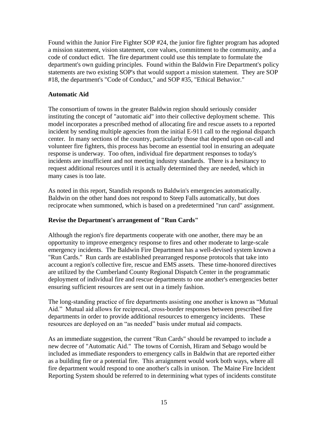Found within the Junior Fire Fighter SOP #24, the junior fire fighter program has adopted a mission statement, vision statement, core values, commitment to the community, and a code of conduct edict. The fire department could use this template to formulate the department's own guiding principles. Found within the Baldwin Fire Department's policy statements are two existing SOP's that would support a mission statement. They are SOP #18, the department's "Code of Conduct," and SOP #35, "Ethical Behavior."

## **Automatic Aid**

The consortium of towns in the greater Baldwin region should seriously consider instituting the concept of "automatic aid" into their collective deployment scheme. This model incorporates a prescribed method of allocating fire and rescue assets to a reported incident by sending multiple agencies from the initial E-911 call to the regional dispatch center. In many sections of the country, particularly those that depend upon on-call and volunteer fire fighters, this process has become an essential tool in ensuring an adequate response is underway. Too often, individual fire department responses to today's incidents are insufficient and not meeting industry standards. There is a hesitancy to request additional resources until it is actually determined they are needed, which in many cases is too late.

As noted in this report, Standish responds to Baldwin's emergencies automatically. Baldwin on the other hand does not respond to Steep Falls automatically, but does reciprocate when summoned, which is based on a predetermined "run card" assignment.

#### **Revise the Department's arrangement of "Run Cards"**

Although the region's fire departments cooperate with one another, there may be an opportunity to improve emergency response to fires and other moderate to large-scale emergency incidents. The Baldwin Fire Department has a well-devised system known a "Run Cards." Run cards are established prearranged response protocols that take into account a region's collective fire, rescue and EMS assets. These time-honored directives are utilized by the Cumberland County Regional Dispatch Center in the programmatic deployment of individual fire and rescue departments to one another's emergencies better ensuring sufficient resources are sent out in a timely fashion.

The long-standing practice of fire departments assisting one another is known as "Mutual Aid." Mutual aid allows for reciprocal, cross-border responses between prescribed fire departments in order to provide additional resources to emergency incidents. These resources are deployed on an "as needed" basis under mutual aid compacts.

As an immediate suggestion, the current "Run Cards" should be revamped to include a new decree of "Automatic Aid." The towns of Cornish, Hiram and Sebago would be included as immediate responders to emergency calls in Baldwin that are reported either as a building fire or a potential fire. This arraignment would work both ways, where all fire department would respond to one another's calls in unison. The Maine Fire Incident Reporting System should be referred to in determining what types of incidents constitute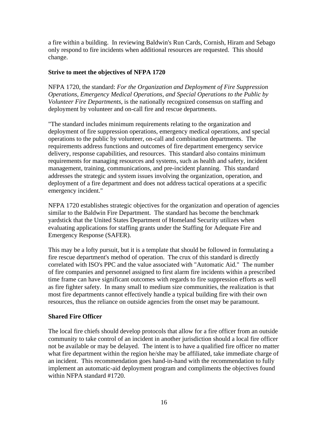a fire within a building. In reviewing Baldwin's Run Cards, Cornish, Hiram and Sebago only respond to fire incidents when additional resources are requested. This should change.

## **Strive to meet the objectives of NFPA 1720**

NFPA 1720, the standard: *For the Organization and Deployment of Fire Suppression Operations, Emergency Medical Operations, and Special Operations to the Public by Volunteer Fire Departments,* is the nationally recognized consensus on staffing and deployment by volunteer and on-call fire and rescue departments.

"The standard includes minimum requirements relating to the organization and deployment of fire suppression operations, emergency medical operations, and special operations to the public by volunteer, on-call and combination departments. The requirements address functions and outcomes of fire department emergency service delivery, response capabilities, and resources. This standard also contains minimum requirements for managing resources and systems, such as health and safety, incident management, training, communications, and pre-incident planning. This standard addresses the strategic and system issues involving the organization, operation, and deployment of a fire department and does not address tactical operations at a specific emergency incident."

NFPA 1720 establishes strategic objectives for the organization and operation of agencies similar to the Baldwin Fire Department. The standard has become the benchmark yardstick that the United States Department of Homeland Security utilizes when evaluating applications for staffing grants under the Staffing for Adequate Fire and Emergency Response (SAFER).

This may be a lofty pursuit, but it is a template that should be followed in formulating a fire rescue department's method of operation. The crux of this standard is directly correlated with ISO's PPC and the value associated with "Automatic Aid." The number of fire companies and personnel assigned to first alarm fire incidents within a prescribed time frame can have significant outcomes with regards to fire suppression efforts as well as fire fighter safety. In many small to medium size communities, the realization is that most fire departments cannot effectively handle a typical building fire with their own resources, thus the reliance on outside agencies from the onset may be paramount.

#### **Shared Fire Officer**

The local fire chiefs should develop protocols that allow for a fire officer from an outside community to take control of an incident in another jurisdiction should a local fire officer not be available or may be delayed. The intent is to have a qualified fire officer no matter what fire department within the region he/she may be affiliated, take immediate charge of an incident. This recommendation goes hand-in-hand with the recommendation to fully implement an automatic-aid deployment program and compliments the objectives found within NFPA standard #1720.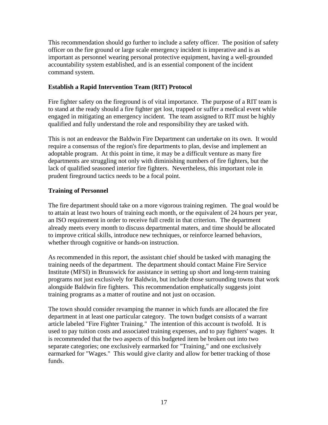This recommendation should go further to include a safety officer. The position of safety officer on the fire ground or large scale emergency incident is imperative and is as important as personnel wearing personal protective equipment, having a well-grounded accountability system established, and is an essential component of the incident command system.

## **Establish a Rapid Intervention Team (RIT) Protocol**

Fire fighter safety on the fireground is of vital importance. The purpose of a RIT team is to stand at the ready should a fire fighter get lost, trapped or suffer a medical event while engaged in mitigating an emergency incident. The team assigned to RIT must be highly qualified and fully understand the role and responsibility they are tasked with.

This is not an endeavor the Baldwin Fire Department can undertake on its own. It would require a consensus of the region's fire departments to plan, devise and implement an adoptable program. At this point in time, it may be a difficult venture as many fire departments are struggling not only with diminishing numbers of fire fighters, but the lack of qualified seasoned interior fire fighters. Nevertheless, this important role in prudent fireground tactics needs to be a focal point.

## **Training of Personnel**

The fire department should take on a more vigorous training regimen. The goal would be to attain at least two hours of training each month, or the equivalent of 24 hours per year, an ISO requirement in order to receive full credit in that criterion. The department already meets every month to discuss departmental maters, and time should be allocated to improve critical skills, introduce new techniques, or reinforce learned behaviors, whether through cognitive or hands-on instruction.

As recommended in this report, the assistant chief should be tasked with managing the training needs of the department. The department should contact Maine Fire Service Institute (MFSI) in Brunswick for assistance in setting up short and long-term training programs not just exclusively for Baldwin, but include those surrounding towns that work alongside Baldwin fire fighters. This recommendation emphatically suggests joint training programs as a matter of routine and not just on occasion.

The town should consider revamping the manner in which funds are allocated the fire department in at least one particular category. The town budget consists of a warrant article labeled "Fire Fighter Training." The intention of this account is twofold. It is used to pay tuition costs and associated training expenses, and to pay fighters' wages. It is recommended that the two aspects of this budgeted item be broken out into two separate categories; one exclusively earmarked for "Training," and one exclusively earmarked for "Wages." This would give clarity and allow for better tracking of those funds.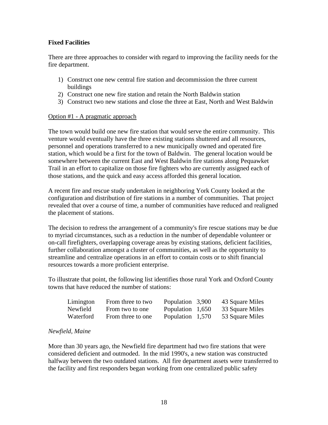## **Fixed Facilities**

There are three approaches to consider with regard to improving the facility needs for the fire department.

- 1) Construct one new central fire station and decommission the three current buildings
- 2) Construct one new fire station and retain the North Baldwin station
- 3) Construct two new stations and close the three at East, North and West Baldwin

#### Option #1 - A pragmatic approach

The town would build one new fire station that would serve the entire community. This venture would eventually have the three existing stations shuttered and all resources, personnel and operations transferred to a new municipally owned and operated fire station, which would be a first for the town of Baldwin. The general location would be somewhere between the current East and West Baldwin fire stations along Pequawket Trail in an effort to capitalize on those fire fighters who are currently assigned each of those stations, and the quick and easy access afforded this general location.

A recent fire and rescue study undertaken in neighboring York County looked at the configuration and distribution of fire stations in a number of communities. That project revealed that over a course of time, a number of communities have reduced and realigned the placement of stations.

The decision to redress the arrangement of a community's fire rescue stations may be due to myriad circumstances, such as a reduction in the number of dependable volunteer or on-call firefighters, overlapping coverage areas by existing stations, deficient facilities, further collaboration amongst a cluster of communities, as well as the opportunity to streamline and centralize operations in an effort to contain costs or to shift financial resources towards a more proficient enterprise.

To illustrate that point, the following list identifies those rural York and Oxford County towns that have reduced the number of stations:

| Limington | From three to two | Population 3,900 | 43 Square Miles |
|-----------|-------------------|------------------|-----------------|
| Newfield  | From two to one   | Population 1,650 | 33 Square Miles |
| Waterford | From three to one | Population 1,570 | 53 Square Miles |

#### *Newfield, Maine*

More than 30 years ago, the Newfield fire department had two fire stations that were considered deficient and outmoded. In the mid 1990's, a new station was constructed halfway between the two outdated stations. All fire department assets were transferred to the facility and first responders began working from one centralized public safety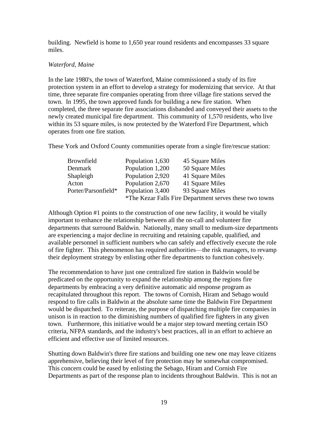building. Newfield is home to 1,650 year round residents and encompasses 33 square miles.

#### *Waterford, Maine*

In the late 1980's, the town of Waterford, Maine commissioned a study of its fire protection system in an effort to develop a strategy for modernizing that service. At that time, three separate fire companies operating from three village fire stations served the town. In 1995, the town approved funds for building a new fire station. When completed, the three separate fire associations disbanded and conveyed their assets to the newly created municipal fire department. This community of 1,570 residents, who live within its 53 square miles, is now protected by the Waterford Fire Department, which operates from one fire station.

These York and Oxford County communities operate from a single fire/rescue station:

| <b>Brownfield</b>   | Population 1,630 | 45 Square Miles                                         |
|---------------------|------------------|---------------------------------------------------------|
| Denmark             | Population 1,200 | 50 Square Miles                                         |
| Shapleigh           | Population 2,920 | 41 Square Miles                                         |
| Acton               | Population 2,670 | 41 Square Miles                                         |
| Porter/Parsonfield* | Population 3,400 | 93 Square Miles                                         |
|                     |                  | *The Kezar Falls Fire Department serves these two towns |

Although Option #1 points to the construction of one new facility, it would be vitally important to enhance the relationship between all the on-call and volunteer fire departments that surround Baldwin. Nationally, many small to medium-size departments are experiencing a major decline in recruiting and retaining capable, qualified, and available personnel in sufficient numbers who can safely and effectively execute the role of fire fighter. This phenomenon has required authorities—the risk managers, to revamp their deployment strategy by enlisting other fire departments to function cohesively.

The recommendation to have just one centralized fire station in Baldwin would be predicated on the opportunity to expand the relationship among the regions fire departments by embracing a very definitive automatic aid response program as recapitulated throughout this report. The towns of Cornish, Hiram and Sebago would respond to fire calls in Baldwin at the absolute same time the Baldwin Fire Department would be dispatched. To reiterate, the purpose of dispatching multiple fire companies in unison is in reaction to the diminishing numbers of qualified fire fighters in any given town. Furthermore, this initiative would be a major step toward meeting certain ISO criteria, NFPA standards, and the industry's best practices, all in an effort to achieve an efficient and effective use of limited resources.

Shutting down Baldwin's three fire stations and building one new one may leave citizens apprehensive, believing their level of fire protection may be somewhat compromised. This concern could be eased by enlisting the Sebago, Hiram and Cornish Fire Departments as part of the response plan to incidents throughout Baldwin. This is not an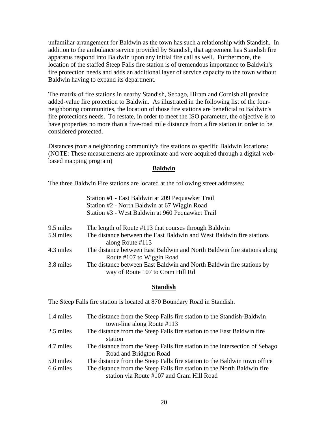unfamiliar arrangement for Baldwin as the town has such a relationship with Standish. In addition to the ambulance service provided by Standish, that agreement has Standish fire apparatus respond into Baldwin upon any initial fire call as well. Furthermore, the location of the staffed Steep Falls fire station is of tremendous importance to Baldwin's fire protection needs and adds an additional layer of service capacity to the town without Baldwin having to expand its department.

The matrix of fire stations in nearby Standish, Sebago, Hiram and Cornish all provide added-value fire protection to Baldwin. As illustrated in the following list of the fourneighboring communities, the location of those fire stations are beneficial to Baldwin's fire protections needs. To restate, in order to meet the ISO parameter, the objective is to have properties no more than a five-road mile distance from a fire station in order to be considered protected.

Distances *from* a neighboring community's fire stations *to* specific Baldwin locations: (NOTE: These measurements are approximate and were acquired through a digital webbased mapping program)

#### **Baldwin**

The three Baldwin Fire stations are located at the following street addresses:

|           | Station #1 - East Baldwin at 209 Pequawket Trail                        |
|-----------|-------------------------------------------------------------------------|
|           | Station #2 - North Baldwin at 67 Wiggin Road                            |
|           | Station #3 - West Baldwin at 960 Pequawket Trail                        |
| 9.5 miles | The length of Route #113 that courses through Baldwin                   |
| 5.9 miles | The distance between the East Baldwin and West Baldwin fire stations    |
|           | along Route $#113$                                                      |
| 4.3 miles | The distance between East Baldwin and North Baldwin fire stations along |
|           | Route #107 to Wiggin Road                                               |
| 3.8 miles | The distance between East Baldwin and North Baldwin fire stations by    |
|           | way of Route 107 to Cram Hill Rd                                        |

#### **Standish**

The Steep Falls fire station is located at 870 Boundary Road in Standish.

| 1.4 miles | The distance from the Steep Falls fire station to the Standish-Baldwin       |
|-----------|------------------------------------------------------------------------------|
|           | town-line along Route #113                                                   |
| 2.5 miles | The distance from the Steep Falls fire station to the East Baldwin fire      |
|           | station                                                                      |
| 4.7 miles | The distance from the Steep Falls fire station to the intersection of Sebago |
|           | Road and Bridgton Road                                                       |
| 5.0 miles | The distance from the Steep Falls fire station to the Baldwin town office    |
| 6.6 miles | The distance from the Steep Falls fire station to the North Baldwin fire     |
|           | station via Route #107 and Cram Hill Road                                    |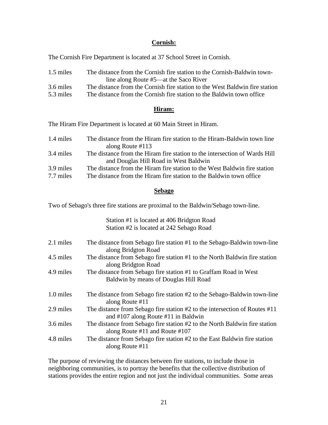#### **Cornish:**

The Cornish Fire Department is located at 37 School Street in Cornish.

| 1.5 miles                   | The distance from the Cornish fire station to the Cornish-Baldwin town-        |
|-----------------------------|--------------------------------------------------------------------------------|
|                             | line along Route #5—at the Saco River                                          |
| 3.6 miles                   | The distance from the Cornish fire station to the West Baldwin fire station    |
| $\sim$ $\sim$ $\sim$ $\sim$ | $\mathbf{m}$ is a subset of the set of $\mathbf{m}$ is the set of $\mathbf{m}$ |

5.3 miles The distance from the Cornish fire station to the Baldwin town office

#### **Hiram:**

The Hiram Fire Department is located at 60 Main Street in Hiram.

| 1.4 miles | The distance from the Hiram fire station to the Hiram-Baldwin town line    |
|-----------|----------------------------------------------------------------------------|
|           | along Route $\#113$                                                        |
| 3.4 miles | The distance from the Hiram fire station to the intersection of Wards Hill |
|           | and Douglas Hill Road in West Baldwin                                      |
| 3.9 miles | The distance from the Hiram fire station to the West Baldwin fire station  |
| 7.7 miles | The distance from the Hiram fire station to the Baldwin town office        |

#### **Sebago**

Two of Sebago's three fire stations are proximal to the Baldwin/Sebago town-line.

Station #1 is located at 406 Bridgton Road Station #2 is located at 242 Sebago Road

| 2.1 miles | The distance from Sebago fire station #1 to the Sebago-Baldwin town-line<br>along Bridgton Road                             |
|-----------|-----------------------------------------------------------------------------------------------------------------------------|
| 4.5 miles | The distance from Sebago fire station #1 to the North Baldwin fire station<br>along Bridgton Road                           |
| 4.9 miles | The distance from Sebago fire station #1 to Graffam Road in West<br>Baldwin by means of Douglas Hill Road                   |
| 1.0 miles | The distance from Sebago fire station #2 to the Sebago-Baldwin town-line<br>along Route #11                                 |
| 2.9 miles | The distance from Sebago fire station $#2$ to the intersection of Routes $#11$<br>and $\#107$ along Route $\#11$ in Baldwin |
| 3.6 miles | The distance from Sebago fire station #2 to the North Baldwin fire station<br>along Route #11 and Route #107                |
| 4.8 miles | The distance from Sebago fire station #2 to the East Baldwin fire station<br>along Route #11                                |

The purpose of reviewing the distances between fire stations, to include those in neighboring communities, is to portray the benefits that the collective distribution of stations provides the entire region and not just the individual communities. Some areas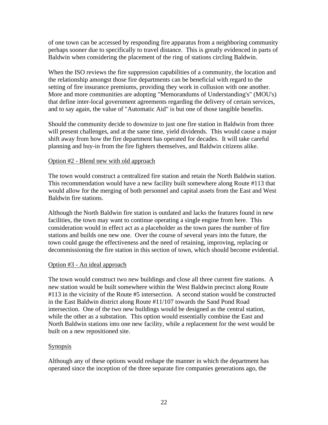of one town can be accessed by responding fire apparatus from a neighboring community perhaps sooner due to specifically to travel distance. This is greatly evidenced in parts of Baldwin when considering the placement of the ring of stations circling Baldwin.

When the ISO reviews the fire suppression capabilities of a community, the location and the relationship amongst those fire departments can be beneficial with regard to the setting of fire insurance premiums, providing they work in collusion with one another. More and more communities are adopting "Memorandums of Understanding's" (MOU's) that define inter-local government agreements regarding the delivery of certain services, and to say again, the value of "Automatic Aid" is but one of those tangible benefits.

Should the community decide to downsize to just one fire station in Baldwin from three will present challenges, and at the same time, yield dividends. This would cause a major shift away from how the fire department has operated for decades. It will take careful planning and buy-in from the fire fighters themselves, and Baldwin citizens alike.

#### Option #2 - Blend new with old approach

The town would construct a centralized fire station and retain the North Baldwin station. This recommendation would have a new facility built somewhere along Route #113 that would allow for the merging of both personnel and capital assets from the East and West Baldwin fire stations.

Although the North Baldwin fire station is outdated and lacks the features found in new facilities, the town may want to continue operating a single engine from here. This consideration would in effect act as a placeholder as the town pares the number of fire stations and builds one new one. Over the course of several years into the future, the town could gauge the effectiveness and the need of retaining, improving, replacing or decommissioning the fire station in this section of town, which should become evidential.

#### Option #3 - An ideal approach

The town would construct two new buildings and close all three current fire stations. A new station would be built somewhere within the West Baldwin precinct along Route #113 in the vicinity of the Route #5 intersection. A second station would be constructed in the East Baldwin district along Route #11/107 towards the Sand Pond Road intersection. One of the two new buildings would be designed as the central station, while the other as a substation. This option would essentially combine the East and North Baldwin stations into one new facility, while a replacement for the west would be built on a new repositioned site.

## Synopsis

Although any of these options would reshape the manner in which the department has operated since the inception of the three separate fire companies generations ago, the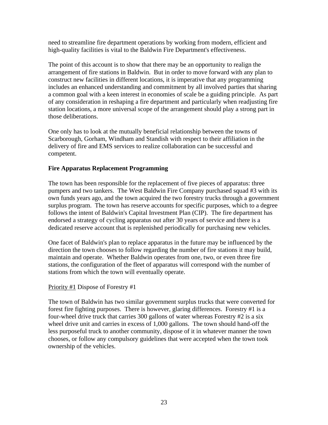need to streamline fire department operations by working from modern, efficient and high-quality facilities is vital to the Baldwin Fire Department's effectiveness.

The point of this account is to show that there may be an opportunity to realign the arrangement of fire stations in Baldwin. But in order to move forward with any plan to construct new facilities in different locations, it is imperative that any programming includes an enhanced understanding and commitment by all involved parties that sharing a common goal with a keen interest in economies of scale be a guiding principle. As part of any consideration in reshaping a fire department and particularly when readjusting fire station locations, a more universal scope of the arrangement should play a strong part in those deliberations.

One only has to look at the mutually beneficial relationship between the towns of Scarborough, Gorham, Windham and Standish with respect to their affiliation in the delivery of fire and EMS services to realize collaboration can be successful and competent.

#### **Fire Apparatus Replacement Programming**

The town has been responsible for the replacement of five pieces of apparatus: three pumpers and two tankers. The West Baldwin Fire Company purchased squad #3 with its own funds years ago, and the town acquired the two forestry trucks through a government surplus program. The town has reserve accounts for specific purposes, which to a degree follows the intent of Baldwin's Capital Investment Plan (CIP). The fire department has endorsed a strategy of cycling apparatus out after 30 years of service and there is a dedicated reserve account that is replenished periodically for purchasing new vehicles.

One facet of Baldwin's plan to replace apparatus in the future may be influenced by the direction the town chooses to follow regarding the number of fire stations it may build, maintain and operate. Whether Baldwin operates from one, two, or even three fire stations, the configuration of the fleet of apparatus will correspond with the number of stations from which the town will eventually operate.

#### Priority #1 Dispose of Forestry #1

The town of Baldwin has two similar government surplus trucks that were converted for forest fire fighting purposes. There is however, glaring differences. Forestry #1 is a four-wheel drive truck that carries 300 gallons of water whereas Forestry #2 is a six wheel drive unit and carries in excess of 1,000 gallons. The town should hand-off the less purposeful truck to another community, dispose of it in whatever manner the town chooses, or follow any compulsory guidelines that were accepted when the town took ownership of the vehicles.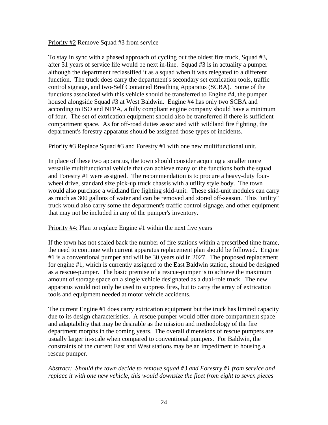#### Priority #2 Remove Squad #3 from service

To stay in sync with a phased approach of cycling out the oldest fire truck, Squad #3, after 31 years of service life would be next in-line. Squad #3 is in actuality a pumper although the department reclassified it as a squad when it was relegated to a different function. The truck does carry the department's secondary set extrication tools, traffic control signage, and two-Self Contained Breathing Apparatus (SCBA). Some of the functions associated with this vehicle should be transferred to Engine #4, the pumper housed alongside Squad #3 at West Baldwin. Engine #4 has only two SCBA and according to ISO and NFPA, a fully compliant engine company should have a minimum of four. The set of extrication equipment should also be transferred if there is sufficient compartment space. As for off-road duties associated with wildland fire fighting, the department's forestry apparatus should be assigned those types of incidents.

Priority #3 Replace Squad #3 and Forestry #1 with one new multifunctional unit.

In place of these two apparatus, the town should consider acquiring a smaller more versatile multifunctional vehicle that can achieve many of the functions both the squad and Forestry #1 were assigned. The recommendation is to procure a heavy-duty fourwheel drive, standard size pick-up truck chassis with a utility style body. The town would also purchase a wildland fire fighting skid-unit. These skid-unit modules can carry as much as 300 gallons of water and can be removed and stored off-season. This "utility" truck would also carry some the department's traffic control signage, and other equipment that may not be included in any of the pumper's inventory.

#### Priority #4: Plan to replace Engine #1 within the next five years

If the town has not scaled back the number of fire stations within a prescribed time frame, the need to continue with current apparatus replacement plan should be followed. Engine #1 is a conventional pumper and will be 30 years old in 2027. The proposed replacement for engine #1, which is currently assigned to the East Baldwin station, should be designed as a rescue-pumper. The basic premise of a rescue-pumper is to achieve the maximum amount of storage space on a single vehicle designated as a dual-role truck. The new apparatus would not only be used to suppress fires, but to carry the array of extrication tools and equipment needed at motor vehicle accidents.

The current Engine #1 does carry extrication equipment but the truck has limited capacity due to its design characteristics. A rescue pumper would offer more compartment space and adaptability that may be desirable as the mission and methodology of the fire department morphs in the coming years. The overall dimensions of rescue pumpers are usually larger in-scale when compared to conventional pumpers. For Baldwin, the constraints of the current East and West stations may be an impediment to housing a rescue pumper.

*Abstract: Should the town decide to remove squad #3 and Forestry #1 from service and replace it with one new vehicle, this would downsize the fleet from eight to seven pieces*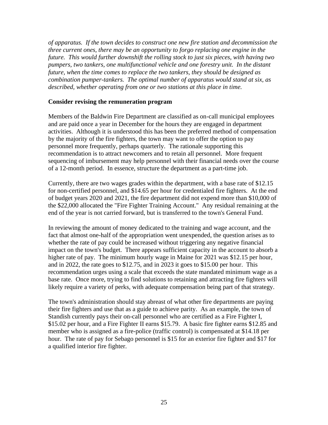*of apparatus. If the town decides to construct one new fire station and decommission the three current ones, there may be an opportunity to forgo replacing one engine in the future. This would further downshift the rolling stock to just six pieces, with having two pumpers, two tankers, one multifunctional vehicle and one forestry unit. In the distant future, when the time comes to replace the two tankers, they should be designed as combination pumper-tankers. The optimal number of apparatus would stand at six, as described, whether operating from one or two stations at this place in time.* 

#### **Consider revising the remuneration program**

Members of the Baldwin Fire Department are classified as on-call municipal employees and are paid once a year in December for the hours they are engaged in department activities. Although it is understood this has been the preferred method of compensation by the majority of the fire fighters, the town may want to offer the option to pay personnel more frequently, perhaps quarterly. The rationale supporting this recommendation is to attract newcomers and to retain all personnel. More frequent sequencing of imbursement may help personnel with their financial needs over the course of a 12-month period. In essence, structure the department as a part-time job.

Currently, there are two wages grades within the department, with a base rate of \$12.15 for non-certified personnel, and \$14.65 per hour for credentialed fire fighters. At the end of budget years 2020 and 2021, the fire department did not expend more than \$10,000 of the \$22,000 allocated the "Fire Fighter Training Account." Any residual remaining at the end of the year is not carried forward, but is transferred to the town's General Fund.

In reviewing the amount of money dedicated to the training and wage account, and the fact that almost one-half of the appropriation went unexpended, the question arises as to whether the rate of pay could be increased without triggering any negative financial impact on the town's budget. There appears sufficient capacity in the account to absorb a higher rate of pay. The minimum hourly wage in Maine for 2021 was \$12.15 per hour, and in 2022, the rate goes to \$12.75, and in 2023 it goes to \$15.00 per hour. This recommendation urges using a scale that exceeds the state mandated minimum wage as a base rate. Once more, trying to find solutions to retaining and attracting fire fighters will likely require a variety of perks, with adequate compensation being part of that strategy.

The town's administration should stay abreast of what other fire departments are paying their fire fighters and use that as a guide to achieve parity. As an example, the town of Standish currently pays their on-call personnel who are certified as a Fire Fighter I, \$15.02 per hour, and a Fire Fighter II earns \$15.79. A basic fire fighter earns \$12.85 and member who is assigned as a fire-police (traffic control) is compensated at \$14.18 per hour. The rate of pay for Sebago personnel is \$15 for an exterior fire fighter and \$17 for a qualified interior fire fighter.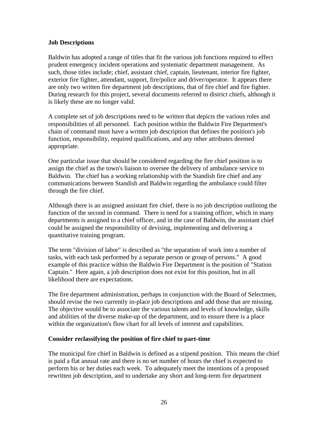#### **Job Descriptions**

Baldwin has adopted a range of titles that fit the various job functions required to effect prudent emergency incident operations and systematic department management. As such, those titles include; chief, assistant chief, captain, lieutenant, interior fire fighter, exterior fire fighter, attendant, support, fire/police and driver/operator. It appears there are only two written fire department job descriptions, that of fire chief and fire fighter. During research for this project, several documents referred to district chiefs, although it is likely these are no longer valid.

A complete set of job descriptions need to be written that depicts the various roles and responsibilities of all personnel. Each position within the Baldwin Fire Department's chain of command must have a written job description that defines the position's job function, responsibility, required qualifications, and any other attributes deemed appropriate.

One particular issue that should be considered regarding the fire chief position is to assign the chief as the town's liaison to oversee the delivery of ambulance service to Baldwin. The chief has a working relationship with the Standish fire chief and any communications between Standish and Baldwin regarding the ambulance could filter through the fire chief.

Although there is an assigned assistant fire chief, there is no job description outlining the function of the second in command. There is need for a training officer, which in many departments is assigned to a chief officer, and in the case of Baldwin, the assistant chief could be assigned the responsibility of devising, implementing and delivering a quantitative training program.

The term "division of labor" is described as "the separation of work into a number of tasks, with each task performed by a separate person or group of persons." A good example of this practice within the Baldwin Fire Department is the position of "Station Captain." Here again, a job description does not exist for this position, but in all likelihood there are expectations.

The fire department administration, perhaps in conjunction with the Board of Selectmen, should revise the two currently in-place job descriptions and add those that are missing. The objective would be to associate the various talents and levels of knowledge, skills and abilities of the diverse make-up of the department, and to ensure there is a place within the organization's flow chart for all levels of interest and capabilities.

#### **Consider reclassifying the position of fire chief to part-time**

The municipal fire chief in Baldwin is defined as a stipend position. This means the chief is paid a flat annual rate and there is no set number of hours the chief is expected to perform his or her duties each week. To adequately meet the intentions of a proposed rewritten job description, and to undertake any short and long-term fire department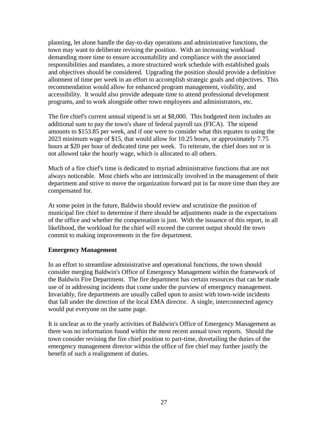planning, let alone handle the day-to-day operations and administrative functions, the town may want to deliberate revising the position. With an increasing workload demanding more time to ensure accountability and compliance with the associated responsibilities and mandates, a more structured work schedule with established goals and objectives should be considered. Upgrading the position should provide a definitive allotment of time per week in an effort to accomplish strategic goals and objectives. This recommendation would allow for enhanced program management, visibility, and accessibility. It would also provide adequate time to attend professional development programs, and to work alongside other town employees and administrators, etc.

The fire chief's current annual stipend is set at \$8,000. This budgeted item includes an additional sum to pay the town's share of federal payroll tax (FICA). The stipend amounts to \$153.85 per week, and if one were to consider what this equates to using the 2023 minimum wage of \$15, that would allow for 10.25 hours, or approximately 7.75 hours at \$20 per hour of dedicated time per week. To reiterate, the chief does not or is not allowed take the hourly wage, which is allocated to all others.

Much of a fire chief's time is dedicated to myriad administrative functions that are not always noticeable. Most chiefs who are intrinsically involved in the management of their department and strive to move the organization forward put in far more time than they are compensated for.

At some point in the future, Baldwin should review and scrutinize the position of municipal fire chief to determine if there should be adjustments made in the expectations of the office and whether the compensation is just. With the issuance of this report, in all likelihood, the workload for the chief will exceed the current output should the town commit to making improvements in the fire department.

## **Emergency Management**

In an effort to streamline administrative and operational functions, the town should consider merging Baldwin's Office of Emergency Management within the framework of the Baldwin Fire Department. The fire department has certain resources that can be made use of in addressing incidents that come under the purview of emergency management. Invariably, fire departments are usually called upon to assist with town-wide incidents that fall under the direction of the local EMA director. A single, interconnected agency would put everyone on the same page.

It is unclear as to the yearly activities of Baldwin's Office of Emergency Management as there was no information found within the most recent annual town reports. Should the town consider revising the fire chief position to part-time, dovetailing the duties of the emergency management director within the office of fire chief may further justify the benefit of such a realignment of duties.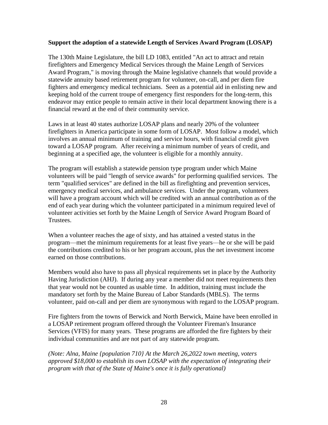#### **Support the adoption of a statewide Length of Services Award Program (LOSAP)**

The 130th Maine Legislature, the bill LD 1083, entitled "An act to attract and retain firefighters and Emergency Medical Services through the Maine Length of Services Award Program," is moving through the Maine legislative channels that would provide a statewide annuity based retirement program for volunteer, on-call, and per diem fire fighters and emergency medical technicians. Seen as a potential aid in enlisting new and keeping hold of the current troupe of emergency first responders for the long-term, this endeavor may entice people to remain active in their local department knowing there is a financial reward at the end of their community service.

Laws in at least 40 states authorize LOSAP plans and nearly 20% of the volunteer firefighters in America participate in some form of LOSAP. Most follow a model, which involves an annual minimum of training and service hours, with financial credit given toward a LOSAP program. After receiving a minimum number of years of credit, and beginning at a specified age, the volunteer is eligible for a monthly annuity.

The program will establish a statewide pension type program under which Maine volunteers will be paid "length of service awards" for performing qualified services. The term "qualified services" are defined in the bill as firefighting and prevention services, emergency medical services, and ambulance services. Under the program, volunteers will have a program account which will be credited with an annual contribution as of the end of each year during which the volunteer participated in a minimum required level of volunteer activities set forth by the Maine Length of Service Award Program Board of Trustees.

When a volunteer reaches the age of sixty, and has attained a vested status in the program—met the minimum requirements for at least five years—he or she will be paid the contributions credited to his or her program account, plus the net investment income earned on those contributions.

Members would also have to pass all physical requirements set in place by the Authority Having Jurisdiction (AHJ). If during any year a member did not meet requirements then that year would not be counted as usable time. In addition, training must include the mandatory set forth by the Maine Bureau of Labor Standards (MBLS). The terms volunteer, paid on-call and per diem are synonymous with regard to the LOSAP program.

Fire fighters from the towns of Berwick and North Berwick, Maine have been enrolled in a LOSAP retirement program offered through the Volunteer Fireman's Insurance Services (VFIS) for many years. These programs are afforded the fire fighters by their individual communities and are not part of any statewide program.

*(Note: Alna, Maine {population 710} At the March 26,2022 town meeting, voters approved \$18,000 to establish its own LOSAP with the expectation of integrating their program with that of the State of Maine's once it is fully operational)*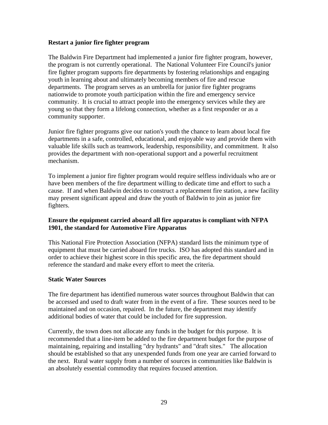#### **Restart a junior fire fighter program**

The Baldwin Fire Department had implemented a junior fire fighter program, however, the program is not currently operational. The National Volunteer Fire Council's junior fire fighter program supports fire departments by fostering relationships and engaging youth in learning about and ultimately becoming members of fire and rescue departments. The program serves as an umbrella for junior fire fighter programs nationwide to promote youth participation within the fire and emergency service community. It is crucial to attract people into the emergency services while they are young so that they form a lifelong connection, whether as a first responder or as a community supporter.

Junior fire fighter programs give our nation's youth the chance to learn about local fire departments in a safe, controlled, educational, and enjoyable way and provide them with valuable life skills such as teamwork, leadership, responsibility, and commitment. It also provides the department with non-operational support and a powerful recruitment mechanism.

To implement a junior fire fighter program would require selfless individuals who are or have been members of the fire department willing to dedicate time and effort to such a cause. If and when Baldwin decides to construct a replacement fire station, a new facility may present significant appeal and draw the youth of Baldwin to join as junior fire fighters.

#### **Ensure the equipment carried aboard all fire apparatus is compliant with NFPA 1901, the standard for Automotive Fire Apparatus**

This National Fire Protection Association (NFPA) standard lists the minimum type of equipment that must be carried aboard fire trucks. ISO has adopted this standard and in order to achieve their highest score in this specific area, the fire department should reference the standard and make every effort to meet the criteria.

#### **Static Water Sources**

The fire department has identified numerous water sources throughout Baldwin that can be accessed and used to draft water from in the event of a fire. These sources need to be maintained and on occasion, repaired. In the future, the department may identify additional bodies of water that could be included for fire suppression.

Currently, the town does not allocate any funds in the budget for this purpose. It is recommended that a line-item be added to the fire department budget for the purpose of maintaining, repairing and installing "dry hydrants" and "draft sites." The allocation should be established so that any unexpended funds from one year are carried forward to the next. Rural water supply from a number of sources in communities like Baldwin is an absolutely essential commodity that requires focused attention.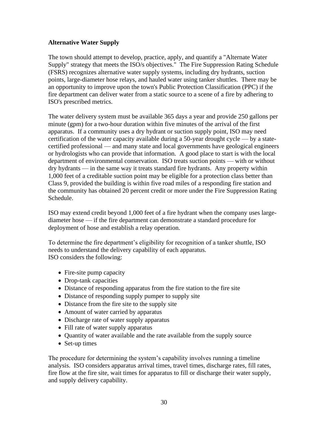## **Alternative Water Supply**

The town should attempt to develop, practice, apply, and quantify a "Alternate Water Supply" strategy that meets the ISO/s objectives." The Fire Suppression Rating Schedule (FSRS) recognizes alternative water supply systems, including dry hydrants, suction points, large-diameter hose relays, and hauled water using tanker shuttles. There may be an opportunity to improve upon the town's Public Protection Classification (PPC) if the fire department can deliver water from a static source to a scene of a fire by adhering to ISO's prescribed metrics.

The water delivery system must be available 365 days a year and provide 250 gallons per minute (gpm) for a two-hour duration within five minutes of the arrival of the first apparatus. If a community uses a dry hydrant or suction supply point, ISO may need certification of the water capacity available during a 50-year drought cycle — by a statecertified professional — and many state and local governments have geological engineers or hydrologists who can provide that information. A good place to start is with the local department of environmental conservation. ISO treats suction points — with or without dry hydrants — in the same way it treats standard fire hydrants. Any property within 1,000 feet of a creditable suction point may be eligible for a protection class better than Class 9, provided the building is within five road miles of a responding fire station and the community has obtained 20 percent credit or more under the Fire Suppression Rating Schedule.

ISO may extend credit beyond 1,000 feet of a fire hydrant when the company uses largediameter hose — if the fire department can demonstrate a standard procedure for deployment of hose and establish a relay operation.

To determine the fire department's eligibility for recognition of a tanker shuttle, ISO needs to understand the delivery capability of each apparatus. ISO considers the following:

- Fire-site pump capacity
- Drop-tank capacities
- Distance of responding apparatus from the fire station to the fire site
- Distance of responding supply pumper to supply site
- Distance from the fire site to the supply site
- Amount of water carried by apparatus
- Discharge rate of water supply apparatus
- Fill rate of water supply apparatus
- Quantity of water available and the rate available from the supply source
- Set-up times

The procedure for determining the system's capability involves running a timeline analysis. ISO considers apparatus arrival times, travel times, discharge rates, fill rates, fire flow at the fire site, wait times for apparatus to fill or discharge their water supply, and supply delivery capability.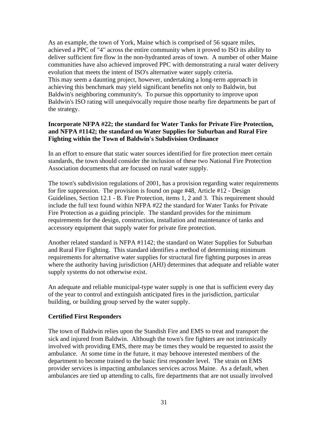As an example, the town of York, Maine which is comprised of 56 square miles, achieved a PPC of "4" across the entire community when it proved to ISO its ability to deliver sufficient fire flow in the non-hydranted areas of town. A number of other Maine communities have also achieved improved PPC with demonstrating a rural water delivery evolution that meets the intent of ISO's alternative water supply criteria. This may seem a daunting project, however, undertaking a long-term approach in achieving this benchmark may yield significant benefits not only to Baldwin, but Baldwin's neighboring community's. To pursue this opportunity to improve upon Baldwin's ISO rating will unequivocally require those nearby fire departments be part of the strategy.

## **Incorporate NFPA #22; the standard for Water Tanks for Private Fire Protection, and NFPA #1142; the standard on Water Supplies for Suburban and Rural Fire Fighting within the Town of Baldwin's Subdivision Ordinance**

In an effort to ensure that static water sources identified for fire protection meet certain standards, the town should consider the inclusion of these two National Fire Protection Association documents that are focused on rural water supply.

The town's subdivision regulations of 2001, has a provision regarding water requirements for fire suppression. The provision is found on page #48, Article #12 - Design Guidelines, Section 12.1 - B. Fire Protection, items 1, 2 and 3. This requirement should include the full text found within NFPA #22 the standard for Water Tanks for Private Fire Protection as a guiding principle. The standard provides for the minimum requirements for the design, construction, installation and maintenance of tanks and accessory equipment that supply water for private fire protection.

Another related standard is NFPA #1142; the standard on Water Supplies for Suburban and Rural Fire Fighting. This standard identifies a method of determining minimum requirements for alternative water supplies for structural fire fighting purposes in areas where the authority having jurisdiction (AHJ) determines that adequate and reliable water supply systems do not otherwise exist.

An adequate and reliable municipal-type water supply is one that is sufficient every day of the year to control and extinguish anticipated fires in the jurisdiction, particular building, or building group served by the water supply.

## **Certified First Responders**

The town of Baldwin relies upon the Standish Fire and EMS to treat and transport the sick and injured from Baldwin. Although the town's fire fighters are not intrinsically involved with providing EMS, there may be times they would be requested to assist the ambulance. At some time in the future, it may behoove interested members of the department to become trained to the basic first responder level. The strain on EMS provider services is impacting ambulances services across Maine. As a default, when ambulances are tied up attending to calls, fire departments that are not usually involved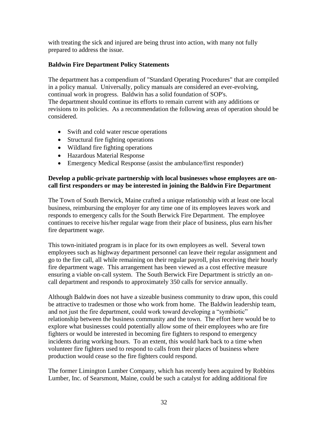with treating the sick and injured are being thrust into action, with many not fully prepared to address the issue.

## **Baldwin Fire Department Policy Statements**

The department has a compendium of "Standard Operating Procedures" that are compiled in a policy manual. Universally, policy manuals are considered an ever-evolving, continual work in progress. Baldwin has a solid foundation of SOP's. The department should continue its efforts to remain current with any additions or revisions to its policies. As a recommendation the following areas of operation should be considered.

- Swift and cold water rescue operations
- Structural fire fighting operations
- Wildland fire fighting operations
- Hazardous Material Response
- Emergency Medical Response (assist the ambulance/first responder)

## **Develop a public-private partnership with local businesses whose employees are oncall first responders or may be interested in joining the Baldwin Fire Department**

The Town of South Berwick, Maine crafted a unique relationship with at least one local business, reimbursing the employer for any time one of its employees leaves work and responds to emergency calls for the South Berwick Fire Department. The employee continues to receive his/her regular wage from their place of business, plus earn his/her fire department wage.

This town-initiated program is in place for its own employees as well. Several town employees such as highway department personnel can leave their regular assignment and go to the fire call, all while remaining on their regular payroll, plus receiving their hourly fire department wage. This arrangement has been viewed as a cost effective measure ensuring a viable on-call system. The South Berwick Fire Department is strictly an oncall department and responds to approximately 350 calls for service annually.

Although Baldwin does not have a sizeable business community to draw upon, this could be attractive to tradesmen or those who work from home. The Baldwin leadership team, and not just the fire department, could work toward developing a "symbiotic" relationship between the business community and the town. The effort here would be to explore what businesses could potentially allow some of their employees who are fire fighters or would be interested in becoming fire fighters to respond to emergency incidents during working hours. To an extent, this would hark back to a time when volunteer fire fighters used to respond to calls from their places of business where production would cease so the fire fighters could respond.

The former Limington Lumber Company, which has recently been acquired by Robbins Lumber, Inc. of Searsmont, Maine, could be such a catalyst for adding additional fire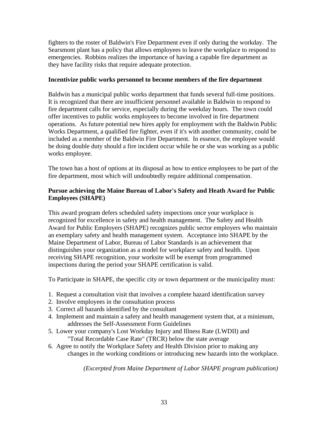fighters to the roster of Baldwin's Fire Department even if only during the workday. The Searsmont plant has a policy that allows employees to leave the workplace to respond to emergencies. Robbins realizes the importance of having a capable fire department as they have facility risks that require adequate protection.

#### **Incentivize public works personnel to become members of the fire department**

Baldwin has a municipal public works department that funds several full-time positions. It is recognized that there are insufficient personnel available in Baldwin to respond to fire department calls for service, especially during the weekday hours. The town could offer incentives to public works employees to become involved in fire department operations. As future potential new hires apply for employment with the Baldwin Public Works Department, a qualified fire fighter, even if it's with another community, could be included as a member of the Baldwin Fire Department. In essence, the employee would be doing double duty should a fire incident occur while he or she was working as a public works employee.

The town has a host of options at its disposal as how to entice employees to be part of the fire department, most which will undoubtedly require additional compensation.

## **Pursue achieving the Maine Bureau of Labor's Safety and Heath Award for Public Employees (SHAPE)**

This award program defers scheduled safety inspections once your workplace is recognized for excellence in safety and health management. The Safety and Health Award for Public Employers (SHAPE) recognizes public sector employers who maintain an exemplary safety and health management system. Acceptance into SHAPE by the Maine Department of Labor, Bureau of Labor Standards is an achievement that distinguishes your organization as a model for workplace safety and health. Upon receiving SHAPE recognition, your worksite will be exempt from programmed inspections during the period your SHAPE certification is valid.

To Participate in SHAPE, the specific city or town department or the municipality must:

- 1. Request a consultation visit that involves a complete hazard identification survey
- 2. Involve employees in the consultation process
- 3. Correct all hazards identified by the consultant
- 4. Implement and maintain a safety and health management system that, at a minimum, addresses the Self-Assessment Form Guidelines
- 5. Lower your company's Lost Workday Injury and Illness Rate (LWDII) and "Total Recordable Case Rate" (TRCR) below the state average
- 6. Agree to notify the Workplace Safety and Health Division prior to making any changes in the working conditions or introducing new hazards into the workplace.

 *(Excerpted from Maine Department of Labor SHAPE program publication)*